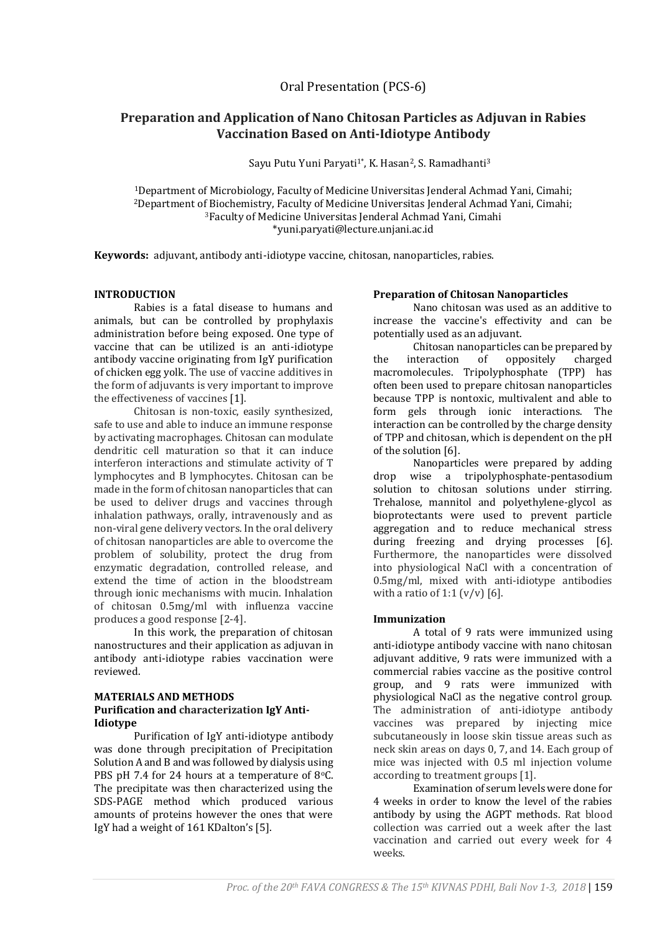# **Preparation and Application of Nano Chitosan Particles as Adjuvan in Rabies Vaccination Based on Anti-Idiotype Antibody**

Sayu Putu Yuni Paryati<sup>1\*</sup>, K. Hasan<sup>2</sup>, S. Ramadhanti<sup>3</sup>

Department of Microbiology, Faculty of Medicine Universitas Jenderal Achmad Yani, Cimahi; Department of Biochemistry, Faculty of Medicine Universitas Jenderal Achmad Yani, Cimahi; Faculty of Medicine Universitas Jenderal Achmad Yani, Cimahi \*yuni.paryati@lecture.unjani.ac.id

**Keywords:** adjuvant, antibody anti-idiotype vaccine, chitosan, nanoparticles, rabies.

### **INTRODUCTION**

Rabies is a fatal disease to humans and animals, but can be controlled by prophylaxis administration before being exposed. One type of vaccine that can be utilized is an anti-idiotype antibody vaccine originating from IgY purification of chicken egg yolk. The use of vaccine additives in the form of adjuvants is very important to improve the effectiveness of vaccines [1].

Chitosan is non-toxic, easily synthesized, safe to use and able to induce an immune response by activating macrophages. Chitosan can modulate dendritic cell maturation so that it can induce interferon interactions and stimulate activity of T lymphocytes and B lymphocytes. Chitosan can be made in the form of chitosan nanoparticles that can be used to deliver drugs and vaccines through inhalation pathways, orally, intravenously and as non-viral gene delivery vectors. In the oral delivery of chitosan nanoparticles are able to overcome the problem of solubility, protect the drug from enzymatic degradation, controlled release, and extend the time of action in the bloodstream through ionic mechanisms with mucin. Inhalation of chitosan 0.5mg/ml with influenza vaccine produces a good response [2-4].

In this work, the preparation of chitosan nanostructures and their application as adjuvan in antibody anti-idiotype rabies vaccination were reviewed.

### **MATERIALS AND METHODS Purification and characterization IgY Anti-Idiotype**

Purification of IgY anti-idiotype antibody was done through precipitation of Precipitation Solution A and B and was followed by dialysis using PBS pH 7.4 for 24 hours at a temperature of 8 $\degree$ C. The precipitate was then characterized using the SDS-PAGE method which produced various amounts of proteins however the ones that were IgY had a weight of 161 KDalton's [5].

#### **Preparation of Chitosan Nanoparticles**

Nano chitosan was used as an additive to increase the vaccine's effectivity and can be potentially used as an adjuvant.

Chitosan nanoparticles can be prepared by the interaction of oppositely charged macromolecules. Tripolyphosphate (TPP) has often been used to prepare chitosan nanoparticles because TPP is nontoxic, multivalent and able to form gels through ionic interactions. The interaction can be controlled by the charge density of TPP and chitosan, which is dependent on the pH of the solution [6].

Nanoparticles were prepared by adding drop wise a tripolyphosphate-pentasodium solution to chitosan solutions under stirring. Trehalose, mannitol and polyethylene-glycol as bioprotectants were used to prevent particle aggregation and to reduce mechanical stress during freezing and drying processes [6]. Furthermore, the nanoparticles were dissolved into physiological NaCl with a concentration of 0.5mg/ml, mixed with anti-idiotype antibodies with a ratio of 1:1  $(v/v)$  [6].

#### **Immunization**

A total of 9 rats were immunized using anti-idiotype antibody vaccine with nano chitosan adjuvant additive, 9 rats were immunized with a commercial rabies vaccine as the positive control group, and 9 rats were immunized with physiological NaCl as the negative control group. The administration of anti-idiotype antibody vaccines was prepared by injecting mice subcutaneously in loose skin tissue areas such as neck skin areas on days 0, 7, and 14. Each group of mice was injected with 0.5 ml injection volume according to treatment groups [1].

Examination of serum levels were done for 4 weeks in order to know the level of the rabies antibody by using the AGPT methods. Rat blood collection was carried out a week after the last vaccination and carried out every week for 4 weeks.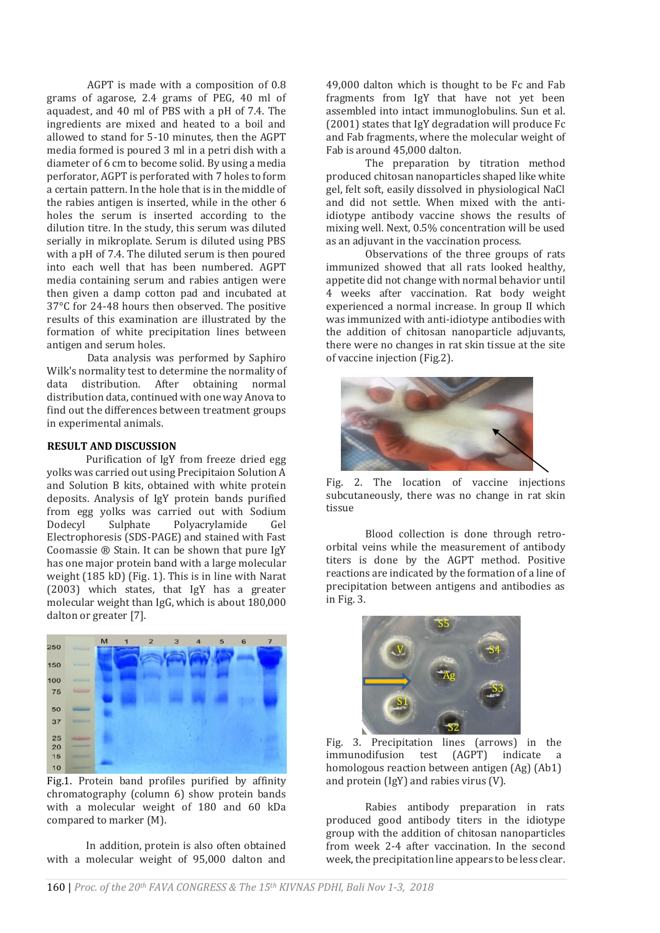AGPT is made with a composition of 0.8 grams of agarose, 2.4 grams of PEG, 40 ml of aquadest, and 40 ml of PBS with a pH of 7.4. The ingredients are mixed and heated to a boil and allowed to stand for 5-10 minutes, then the AGPT media formed is poured 3 ml in a petri dish with a diameter of 6 cm to become solid. By using a media perforator, AGPT is perforated with 7 holes to form a certain pattern. In the hole that is in the middle of the rabies antigen is inserted, while in the other 6 holes the serum is inserted according to the dilution titre. In the study, this serum was diluted serially in mikroplate. Serum is diluted using PBS with a pH of 7.4. The diluted serum is then poured into each well that has been numbered. AGPT media containing serum and rabies antigen were then given a damp cotton pad and incubated at 37°C for 24-48 hours then observed. The positive results of this examination are illustrated by the formation of white precipitation lines between antigen and serum holes.

Data analysis was performed by Saphiro Wilk's normality test to determine the normality of data distribution. After obtaining normal distribution data, continued with one way Anova to find out the differences between treatment groups in experimental animals.

# **RESULT AND DISCUSSION**

Purification of IgY from freeze dried egg yolks was carried out using Precipitaion Solution A and Solution B kits, obtained with white protein deposits. Analysis of IgY protein bands purified from egg yolks was carried out with Sodium Dodecyl Sulphate Polyacrylamide Gel Electrophoresis (SDS-PAGE) and stained with Fast Coomassie ® Stain. It can be shown that pure IgY has one major protein band with a large molecular weight (185 kD) (Fig. 1). This is in line with Narat (2003) which states, that IgY has a greater molecular weight than IgG, which is about 180,000 dalton or greater [7].



Fig.1. Protein band profiles purified by affinity chromatography (column 6) show protein bands with a molecular weight of 180 and 60 kDa compared to marker (M).

In addition, protein is also often obtained with a molecular weight of 95,000 dalton and

49,000 dalton which is thought to be Fc and Fab fragments from IgY that have not yet been assembled into intact immunoglobulins. Sun et al. (2001) states that IgY degradation will produce Fc and Fab fragments, where the molecular weight of Fab is around 45,000 dalton.

The preparation by titration method produced chitosan nanoparticles shaped like white gel, felt soft, easily dissolved in physiological NaCl and did not settle. When mixed with the antiidiotype antibody vaccine shows the results of mixing well. Next, 0.5% concentration will be used as an adjuvant in the vaccination process.

Observations of the three groups of rats immunized showed that all rats looked healthy, appetite did not change with normal behavior until 4 weeks after vaccination. Rat body weight experienced a normal increase. In group II which was immunized with anti-idiotype antibodies with the addition of chitosan nanoparticle adjuvants, there were no changes in rat skin tissue at the site of vaccine injection (Fig.2).



Fig. 2. The location of vaccine injections subcutaneously, there was no change in rat skin tissue

Blood collection is done through retroorbital veins while the measurement of antibody titers is done by the AGPT method. Positive reactions are indicated by the formation of a line of precipitation between antigens and antibodies as in Fig. 3.



Fig. 3. Precipitation lines (arrows) in the immunodifusion test (AGPT) indicate a homologous reaction between antigen (Ag) (Ab1) and protein (IgY) and rabies virus (V).

Rabies antibody preparation in rats produced good antibody titers in the idiotype group with the addition of chitosan nanoparticles from week 2-4 after vaccination. In the second week, the precipitation line appears to be less clear.